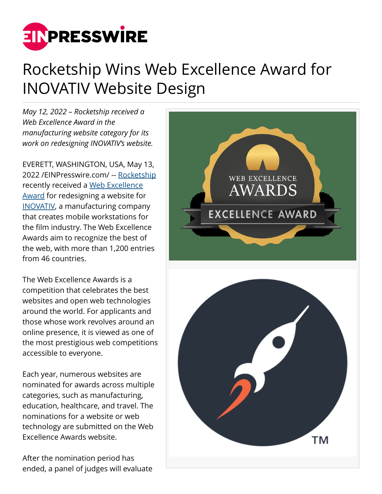

## Rocketship Wins Web Excellence Award for INOVATIV Website Design

*May 12, 2022 – Rocketship received a Web Excellence Award in the manufacturing website category for its work on redesigning INOVATIV's website.*

EVERETT, WASHINGTON, USA, May 13, 2022 /[EINPresswire.com](http://www.einpresswire.com)/ -- [Rocketship](https://getrocketship.com/) recently received a [Web Excellence](https://we-awards.com/winner/inovativ-website/) [Award](https://we-awards.com/winner/inovativ-website/) for redesigning a website for [INOVATIV](https://www.inovativ.com/), a manufacturing company that creates mobile workstations for the film industry. The Web Excellence Awards aim to recognize the best of the web, with more than 1,200 entries from 46 countries.

The Web Excellence Awards is a competition that celebrates the best websites and open web technologies around the world. For applicants and those whose work revolves around an online presence, it is viewed as one of the most prestigious web competitions accessible to everyone.

Each year, numerous websites are nominated for awards across multiple categories, such as manufacturing, education, healthcare, and travel. The nominations for a website or web technology are submitted on the Web Excellence Awards website.

After the nomination period has ended, a panel of judges will evaluate

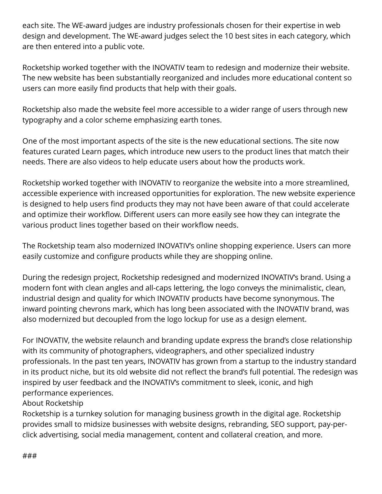each site. The WE-award judges are industry professionals chosen for their expertise in web design and development. The WE-award judges select the 10 best sites in each category, which are then entered into a public vote.

Rocketship worked together with the INOVATIV team to redesign and modernize their website. The new website has been substantially reorganized and includes more educational content so users can more easily find products that help with their goals.

Rocketship also made the website feel more accessible to a wider range of users through new typography and a color scheme emphasizing earth tones.

One of the most important aspects of the site is the new educational sections. The site now features curated Learn pages, which introduce new users to the product lines that match their needs. There are also videos to help educate users about how the products work.

Rocketship worked together with INOVATIV to reorganize the website into a more streamlined, accessible experience with increased opportunities for exploration. The new website experience is designed to help users find products they may not have been aware of that could accelerate and optimize their workflow. Different users can more easily see how they can integrate the various product lines together based on their workflow needs.

The Rocketship team also modernized INOVATIV's online shopping experience. Users can more easily customize and configure products while they are shopping online.

During the redesign project, Rocketship redesigned and modernized INOVATIV's brand. Using a modern font with clean angles and all-caps lettering, the logo conveys the minimalistic, clean, industrial design and quality for which INOVATIV products have become synonymous. The inward pointing chevrons mark, which has long been associated with the INOVATIV brand, was also modernized but decoupled from the logo lockup for use as a design element.

For INOVATIV, the website relaunch and branding update express the brand's close relationship with its community of photographers, videographers, and other specialized industry professionals. In the past ten years, INOVATIV has grown from a startup to the industry standard in its product niche, but its old website did not reflect the brand's full potential. The redesign was inspired by user feedback and the INOVATIV's commitment to sleek, iconic, and high performance experiences.

## About Rocketship

Rocketship is a turnkey solution for managing business growth in the digital age. Rocketship provides small to midsize businesses with website designs, rebranding, SEO support, pay-perclick advertising, social media management, content and collateral creation, and more.